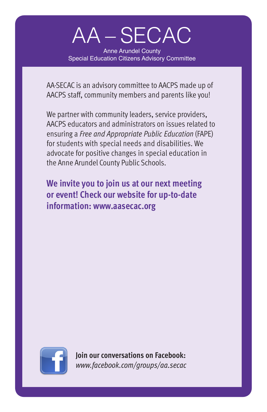# AA – SECAC

Anne Arundel County Special Education Citizens Advisory Committee

AA-SECAC is an advisory committee to AACPS made up of AACPS staff, community members and parents like you!

We partner with community leaders, service providers, AACPS educators and administrators on issues related to ensuring a *Free and Appropriate Public Education* (FAPE) for students with special needs and disabilities. We advocate for positive changes in special education in the Anne Arundel County Public Schools.

**We invite you to join us at our next meeting or event! Check our website for up-to-date information: www.aasecac.org**



**Join our conversations on Facebook:**  *www.facebook.com/groups/aa.secac*